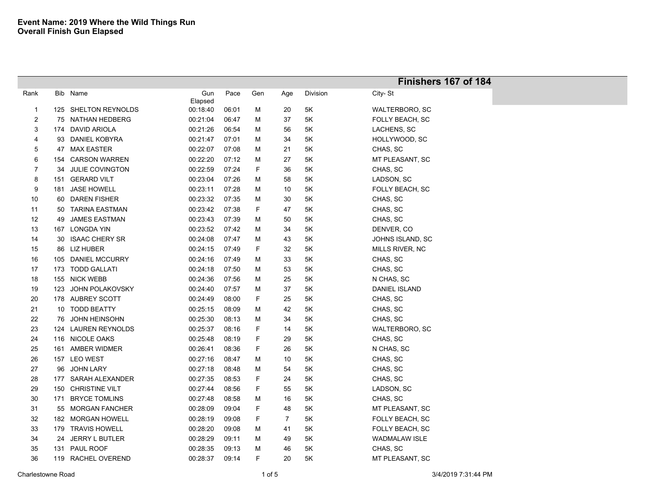|                |     |                        |          |       |     |                |               | Finishers 167 of 184   |
|----------------|-----|------------------------|----------|-------|-----|----------------|---------------|------------------------|
| Rank           |     | Bib Name               | Gun      | Pace  | Gen | Age            | Division      | City-St                |
|                |     |                        | Elapsed  |       |     |                |               |                        |
| $\overline{1}$ |     | 125 SHELTON REYNOLDS   | 00:18:40 | 06:01 | M   | 20             | 5K            | WALTERBORO, SC         |
| $\overline{2}$ |     | 75 NATHAN HEDBERG      | 00:21:04 | 06:47 | M   | 37             | 5K            | FOLLY BEACH, SC        |
| 3              |     | 174 DAVID ARIOLA       | 00:21:26 | 06:54 | M   | 56             | 5K            | LACHENS, SC            |
| 4              | 93  | DANIEL KOBYRA          | 00:21:47 | 07:01 | M   | 34             | 5K            | HOLLYWOOD, SC          |
| 5              |     | 47 MAX EASTER          | 00:22:07 | 07:08 | M   | 21             | 5K            | CHAS, SC               |
| 6              | 154 | <b>CARSON WARREN</b>   | 00:22:20 | 07:12 | M   | 27             | 5K            | MT PLEASANT, SC        |
| $\overline{7}$ | 34  | <b>JULIE COVINGTON</b> | 00:22:59 | 07:24 | F   | 36             | 5K            | CHAS, SC               |
| 8              | 151 | <b>GERARD VILT</b>     | 00:23:04 | 07:26 | M   | 58             | 5K            | LADSON, SC             |
| 9              | 181 | <b>JASE HOWELL</b>     | 00:23:11 | 07:28 | M   | 10             | 5K            | FOLLY BEACH, SC        |
| $10\,$         | 60  | <b>DAREN FISHER</b>    | 00:23:32 | 07:35 | M   | $30\,$         | 5K            | CHAS, SC               |
| 11             | 50  | <b>TARINA EASTMAN</b>  | 00:23:42 | 07:38 | F   | 47             | 5K            | CHAS, SC               |
| 12             | 49  | <b>JAMES EASTMAN</b>   | 00:23:43 | 07:39 | M   | 50             | 5K            | CHAS, SC               |
| 13             |     | 167 LONGDA YIN         | 00:23:52 | 07:42 | M   | 34             | 5K            | DENVER, CO             |
| 14             | 30  | <b>ISAAC CHERY SR</b>  | 00:24:08 | 07:47 | м   | 43             | 5K            | JOHNS ISLAND, SC       |
| 15             | 86  | LIZ HUBER              | 00:24:15 | 07:49 | F   | 32             | 5Κ            | MILLS RIVER, NC        |
| 16             | 105 | <b>DANIEL MCCURRY</b>  | 00:24:16 | 07:49 | M   | 33             | $5\mathsf{K}$ | CHAS, SC               |
| 17             |     | 173 TODD GALLATI       | 00:24:18 | 07:50 | M   | 53             | 5K            | CHAS, SC               |
| 18             |     | 155 NICK WEBB          | 00:24:36 | 07:56 | M   | 25             | 5Κ            | N CHAS, SC             |
| 19             | 123 | JOHN POLAKOVSKY        | 00:24:40 | 07:57 | M   | 37             | 5K            | DANIEL ISLAND          |
| 20             |     | 178 AUBREY SCOTT       | 00:24:49 | 08:00 | F   | 25             | 5K            | CHAS, SC               |
| 21             |     | 10 TODD BEATTY         | 00:25:15 | 08:09 | M   | 42             | 5K            | CHAS, SC               |
| 22             | 76  | <b>JOHN HEINSOHN</b>   | 00:25:30 | 08:13 | M   | 34             | 5K            | CHAS, SC               |
| 23             |     | 124 LAUREN REYNOLDS    | 00:25:37 | 08:16 | F   | 14             | 5K            | WALTERBORO, SC         |
| 24             |     | 116 NICOLE OAKS        | 00:25:48 | 08:19 | F   | 29             | 5K            | CHAS, SC               |
| 25             |     | 161 AMBER WIDMER       | 00:26:41 | 08:36 | F   | 26             | 5K            | N CHAS, SC             |
| 26             |     | 157 LEO WEST           | 00:27:16 | 08:47 | M   | 10             | 5K            | CHAS, SC               |
| 27             | 96  | <b>JOHN LARY</b>       | 00:27:18 | 08:48 | M   | 54             | 5K            | CHAS, SC               |
| 28             |     | 177 SARAH ALEXANDER    | 00:27:35 | 08:53 | F   | 24             | 5K            | CHAS, SC               |
| 29             | 150 | <b>CHRISTINE VILT</b>  | 00:27:44 | 08:56 | F   | 55             | 5K            | LADSON, SC             |
| 30             | 171 | <b>BRYCE TOMLINS</b>   | 00:27:48 | 08:58 | M   | 16             | 5K            | CHAS, SC               |
| 31             |     | 55 MORGAN FANCHER      | 00:28:09 | 09:04 | F   | 48             | 5K            | MT PLEASANT, SC        |
| 32             |     | 182 MORGAN HOWELL      | 00:28:19 | 09:08 | F   | $\overline{7}$ | 5K            | <b>FOLLY BEACH, SC</b> |
| 33             |     | 179 TRAVIS HOWELL      | 00:28:20 | 09:08 | M   | 41             | 5K            | FOLLY BEACH, SC        |
| 34             | 24  | <b>JERRY L BUTLER</b>  | 00:28:29 | 09:11 | M   | 49             | 5K            | <b>WADMALAW ISLE</b>   |
| 35             | 131 | PAUL ROOF              | 00:28:35 | 09:13 | м   | 46             | 5K            | CHAS, SC               |
| 36             |     | 119 RACHEL OVEREND     | 00:28:37 | 09:14 | F   | 20             | 5K            | MT PLEASANT, SC        |
|                |     |                        |          |       |     |                |               |                        |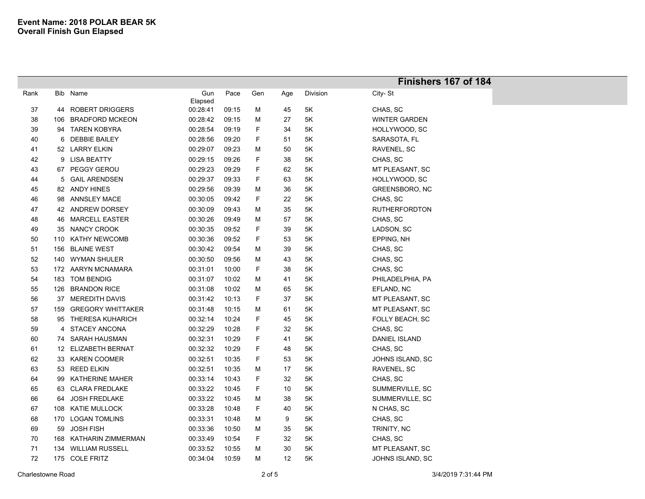|      |     |                          |                |       |     |     |          | Finishers 167 of 184 |  |
|------|-----|--------------------------|----------------|-------|-----|-----|----------|----------------------|--|
| Rank | Bib | Name                     | Gun<br>Elapsed | Pace  | Gen | Age | Division | City-St              |  |
| 37   | 44  | <b>ROBERT DRIGGERS</b>   | 00:28:41       | 09:15 | M   | 45  | $5K$     | CHAS, SC             |  |
| 38   | 106 | <b>BRADFORD MCKEON</b>   | 00:28:42       | 09:15 | M   | 27  | 5K       | <b>WINTER GARDEN</b> |  |
| 39   | 94  | <b>TAREN KOBYRA</b>      | 00:28:54       | 09:19 | F   | 34  | 5K       | HOLLYWOOD, SC        |  |
| 40   | 6   | <b>DEBBIE BAILEY</b>     | 00:28:56       | 09:20 | F   | 51  | 5K       | SARASOTA, FL         |  |
| 41   |     | 52 LARRY ELKIN           | 00:29:07       | 09:23 | M   | 50  | 5K       | RAVENEL, SC          |  |
| 42   |     | 9 LISA BEATTY            | 00:29:15       | 09:26 | F   | 38  | 5K       | CHAS, SC             |  |
| 43   | 67  | <b>PEGGY GEROU</b>       | 00:29:23       | 09:29 | F   | 62  | 5K       | MT PLEASANT, SC      |  |
| 44   | 5   | <b>GAIL ARENDSEN</b>     | 00:29:37       | 09:33 | F   | 63  | 5K       | HOLLYWOOD, SC        |  |
| 45   |     | 82 ANDY HINES            | 00:29:56       | 09:39 | M   | 36  | 5K       | GREENSBORO, NC       |  |
| 46   | 98  | ANNSLEY MACE             | 00:30:05       | 09:42 | F   | 22  | 5Κ       | CHAS, SC             |  |
| 47   |     | 42 ANDREW DORSEY         | 00:30:09       | 09:43 | м   | 35  | 5Κ       | <b>RUTHERFORDTON</b> |  |
| 48   |     | 46 MARCELL EASTER        | 00:30:26       | 09:49 | M   | 57  | 5Κ       | CHAS, SC             |  |
| 49   | 35  | <b>NANCY CROOK</b>       | 00:30:35       | 09:52 | F   | 39  | 5Κ       | LADSON, SC           |  |
| 50   | 110 | KATHY NEWCOMB            | 00:30:36       | 09:52 | F   | 53  | 5Κ       | EPPING, NH           |  |
| 51   | 156 | <b>BLAINE WEST</b>       | 00:30:42       | 09:54 | M   | 39  | 5K       | CHAS, SC             |  |
| 52   | 140 | <b>WYMAN SHULER</b>      | 00:30:50       | 09:56 | M   | 43  | 5Κ       | CHAS, SC             |  |
| 53   |     | 172 AARYN MCNAMARA       | 00:31:01       | 10:00 | F   | 38  | 5Κ       | CHAS, SC             |  |
| 54   | 183 | <b>TOM BENDIG</b>        | 00:31:07       | 10:02 | M   | 41  | 5K       | PHILADELPHIA, PA     |  |
| 55   | 126 | <b>BRANDON RICE</b>      | 00:31:08       | 10:02 | M   | 65  | 5K       | EFLAND, NC           |  |
| 56   | 37  | <b>MEREDITH DAVIS</b>    | 00:31:42       | 10:13 | F   | 37  | 5K       | MT PLEASANT, SC      |  |
| 57   | 159 | <b>GREGORY WHITTAKER</b> | 00:31:48       | 10:15 | M   | 61  | 5K       | MT PLEASANT, SC      |  |
| 58   |     | 95 THERESA KUHARICH      | 00:32:14       | 10:24 | F   | 45  | 5K       | FOLLY BEACH, SC      |  |
| 59   |     | 4 STACEY ANCONA          | 00:32:29       | 10:28 | F   | 32  | 5Κ       | CHAS, SC             |  |
| 60   |     | 74 SARAH HAUSMAN         | 00:32:31       | 10:29 | F   | 41  | 5K       | <b>DANIEL ISLAND</b> |  |
| 61   |     | 12 ELIZABETH BERNAT      | 00:32:32       | 10:29 | F   | 48  | 5K       | CHAS, SC             |  |
| 62   | 33  | <b>KAREN COOMER</b>      | 00:32:51       | 10:35 | F   | 53  | 5K       | JOHNS ISLAND, SC     |  |
| 63   | 53  | <b>REED ELKIN</b>        | 00:32:51       | 10:35 | M   | 17  | 5K       | RAVENEL, SC          |  |
| 64   | 99  | <b>KATHERINE MAHER</b>   | 00:33:14       | 10:43 | F   | 32  | 5K       | CHAS, SC             |  |
| 65   | 63  | <b>CLARA FREDLAKE</b>    | 00:33:22       | 10:45 | F   | 10  | 5Κ       | SUMMERVILLE, SC      |  |
| 66   | 64  | <b>JOSH FREDLAKE</b>     | 00:33:22       | 10:45 | M   | 38  | 5K       | SUMMERVILLE, SC      |  |
| 67   | 108 | <b>KATIE MULLOCK</b>     | 00:33:28       | 10:48 | F   | 40  | 5Κ       | N CHAS, SC           |  |
| 68   | 170 | <b>LOGAN TOMLINS</b>     | 00:33:31       | 10:48 | M   | 9   | 5Κ       | CHAS, SC             |  |
| 69   | 59  | <b>JOSH FISH</b>         | 00:33:36       | 10:50 | M   | 35  | 5Κ       | TRINITY, NC          |  |
| 70   | 168 | KATHARIN ZIMMERMAN       | 00:33:49       | 10:54 | F   | 32  | 5Κ       | CHAS, SC             |  |
| 71   |     | 134 WILLIAM RUSSELL      | 00:33:52       | 10:55 | м   | 30  | 5Κ       | MT PLEASANT, SC      |  |
| 72   |     | 175 COLE FRITZ           | 00:34:04       | 10:59 | м   | 12  | 5K       | JOHNS ISLAND, SC     |  |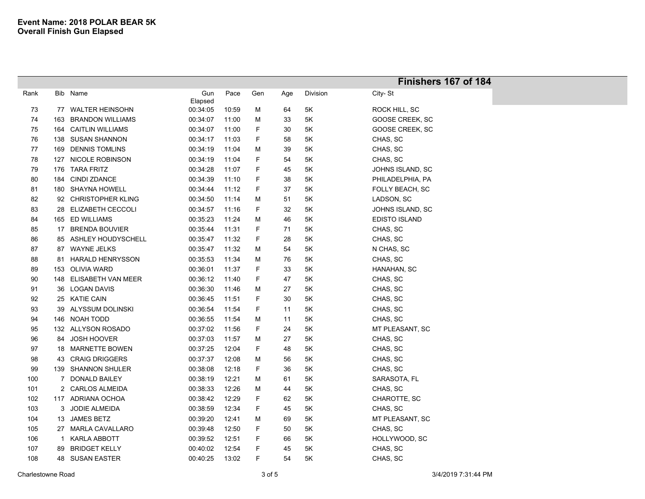|      |     |                          |                |       |     |     |          | Finishers 167 of 184 |
|------|-----|--------------------------|----------------|-------|-----|-----|----------|----------------------|
| Rank |     | Bib Name                 | Gun<br>Elapsed | Pace  | Gen | Age | Division | City-St              |
| 73   |     | 77 WALTER HEINSOHN       | 00:34:05       | 10:59 | M   | 64  | 5K       | ROCK HILL, SC        |
| 74   | 163 | <b>BRANDON WILLIAMS</b>  | 00:34:07       | 11:00 | M   | 33  | 5K       | GOOSE CREEK, SC      |
| 75   | 164 | <b>CAITLIN WILLIAMS</b>  | 00:34:07       | 11:00 | F   | 30  | 5K       | GOOSE CREEK, SC      |
| 76   | 138 | <b>SUSAN SHANNON</b>     | 00:34:17       | 11:03 | F   | 58  | 5K       | CHAS, SC             |
| 77   | 169 | <b>DENNIS TOMLINS</b>    | 00:34:19       | 11:04 | M   | 39  | 5K       | CHAS, SC             |
| 78   | 127 | NICOLE ROBINSON          | 00:34:19       | 11:04 | F   | 54  | 5K       | CHAS, SC             |
| 79   |     | 176 TARA FRITZ           | 00:34:28       | 11:07 | F   | 45  | 5K       | JOHNS ISLAND, SC     |
| 80   | 184 | <b>CINDI ZDANCE</b>      | 00:34:39       | 11:10 | F   | 38  | 5K       | PHILADELPHIA, PA     |
| 81   |     | 180 SHAYNA HOWELL        | 00:34:44       | 11:12 | F   | 37  | 5K       | FOLLY BEACH, SC      |
| 82   | 92  | <b>CHRISTOPHER KLING</b> | 00:34:50       | 11:14 | M   | 51  | 5K       | LADSON, SC           |
| 83   |     | 28 ELIZABETH CECCOLI     | 00:34:57       | 11:16 | F   | 32  | 5K       | JOHNS ISLAND, SC     |
| 84   |     | 165 ED WILLIAMS          | 00:35:23       | 11:24 | M   | 46  | 5K       | <b>EDISTO ISLAND</b> |
| 85   |     | 17 BRENDA BOUVIER        | 00:35:44       | 11:31 | F   | 71  | 5K       | CHAS, SC             |
| 86   | 85  | ASHLEY HOUDYSCHELL       | 00:35:47       | 11:32 | F   | 28  | 5K       | CHAS, SC             |
| 87   | 87  | <b>WAYNE JELKS</b>       | 00:35:47       | 11:32 | M   | 54  | 5K       | N CHAS, SC           |
| 88   | 81  | <b>HARALD HENRYSSON</b>  | 00:35:53       | 11:34 | M   | 76  | 5K       | CHAS, SC             |
| 89   |     | 153 OLIVIA WARD          | 00:36:01       | 11:37 | F   | 33  | 5K       | HANAHAN, SC          |
| 90   |     | 148 ELISABETH VAN MEER   | 00:36:12       | 11:40 | F   | 47  | 5K       | CHAS, SC             |
| 91   |     | 36 LOGAN DAVIS           | 00:36:30       | 11:46 | M   | 27  | 5K       | CHAS, SC             |
| 92   |     | 25 KATIE CAIN            | 00:36:45       | 11:51 | F   | 30  | 5K       | CHAS, SC             |
| 93   | 39  | ALYSSUM DOLINSKI         | 00:36:54       | 11:54 | F   | 11  | 5K       | CHAS, SC             |
| 94   |     | 146 NOAH TODD            | 00:36:55       | 11:54 | M   | 11  | 5K       | CHAS, SC             |
| 95   |     | 132 ALLYSON ROSADO       | 00:37:02       | 11:56 | F   | 24  | 5K       | MT PLEASANT, SC      |
| 96   | 84  | <b>JOSH HOOVER</b>       | 00:37:03       | 11:57 | M   | 27  | 5K       | CHAS, SC             |
| 97   | 18  | <b>MARNETTE BOWEN</b>    | 00:37:25       | 12:04 | F   | 48  | 5K       | CHAS, SC             |
| 98   | 43  | <b>CRAIG DRIGGERS</b>    | 00:37:37       | 12:08 | M   | 56  | 5Κ       | CHAS, SC             |
| 99   |     | 139 SHANNON SHULER       | 00:38:08       | 12:18 | F   | 36  | 5K       | CHAS, SC             |
| 100  | 7   | <b>DONALD BAILEY</b>     | 00:38:19       | 12:21 | M   | 61  | 5K       | SARASOTA, FL         |
| 101  |     | 2 CARLOS ALMEIDA         | 00:38:33       | 12:26 | M   | 44  | 5K       | CHAS, SC             |
| 102  |     | 117 ADRIANA OCHOA        | 00:38:42       | 12:29 | F   | 62  | 5K       | CHAROTTE, SC         |
| 103  | 3   | JODIE ALMEIDA            | 00:38:59       | 12:34 | F   | 45  | 5Κ       | CHAS, SC             |
| 104  |     | 13 JAMES BETZ            | 00:39:20       | 12:41 | M   | 69  | 5Κ       | MT PLEASANT, SC      |
| 105  |     | 27 MARLA CAVALLARO       | 00:39:48       | 12:50 | F   | 50  | 5Κ       | CHAS, SC             |
| 106  | -1  | <b>KARLA ABBOTT</b>      | 00:39:52       | 12:51 | F.  | 66  | 5K       | HOLLYWOOD, SC        |
| 107  | 89  | <b>BRIDGET KELLY</b>     | 00:40:02       | 12:54 | F   | 45  | 5K       | CHAS, SC             |
| 108  |     | 48 SUSAN EASTER          | 00:40:25       | 13:02 | F   | 54  | 5K       | CHAS, SC             |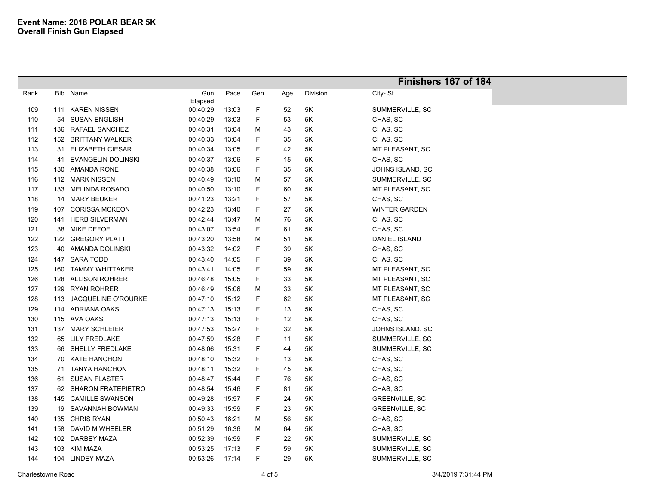|      |     |                           |          |       |     |     |               | Finishers 167 of 184  |
|------|-----|---------------------------|----------|-------|-----|-----|---------------|-----------------------|
| Rank |     | Bib Name                  | Gun      | Pace  | Gen | Age | Division      | City-St               |
|      |     |                           | Elapsed  |       |     |     |               |                       |
| 109  | 111 | <b>KAREN NISSEN</b>       | 00:40:29 | 13:03 | F   | 52  | $5K$          | SUMMERVILLE, SC       |
| 110  |     | 54 SUSAN ENGLISH          | 00:40:29 | 13:03 | F   | 53  | 5K            | CHAS, SC              |
| 111  |     | 136 RAFAEL SANCHEZ        | 00:40:31 | 13:04 | M   | 43  | 5Κ            | CHAS, SC              |
| 112  |     | 152 BRITTANY WALKER       | 00:40:33 | 13:04 | F   | 35  | 5Κ            | CHAS, SC              |
| 113  | 31. | <b>ELIZABETH CIESAR</b>   | 00:40:34 | 13:05 | F   | 42  | 5Κ            | MT PLEASANT, SC       |
| 114  | 41  | <b>EVANGELIN DOLINSKI</b> | 00:40:37 | 13:06 | F   | 15  | 5K            | CHAS, SC              |
| 115  |     | 130 AMANDA RONE           | 00:40:38 | 13:06 | F   | 35  | 5K            | JOHNS ISLAND, SC      |
| 116  |     | 112 MARK NISSEN           | 00:40:49 | 13:10 | M   | 57  | 5Κ            | SUMMERVILLE, SC       |
| 117  |     | 133 MELINDA ROSADO        | 00:40:50 | 13:10 | F   | 60  | 5K            | MT PLEASANT, SC       |
| 118  |     | 14 MARY BEUKER            | 00:41:23 | 13:21 | F   | 57  | 5K            | CHAS, SC              |
| 119  | 107 | <b>CORISSA MCKEON</b>     | 00:42:23 | 13:40 | F   | 27  | 5Κ            | <b>WINTER GARDEN</b>  |
| 120  | 141 | <b>HERB SILVERMAN</b>     | 00:42:44 | 13:47 | M   | 76  | 5Κ            | CHAS, SC              |
| 121  |     | 38 MIKE DEFOE             | 00:43:07 | 13:54 | F   | 61  | 5Κ            | CHAS, SC              |
| 122  |     | 122 GREGORY PLATT         | 00:43:20 | 13:58 | M   | 51  | 5Κ            | <b>DANIEL ISLAND</b>  |
| 123  |     | 40 AMANDA DOLINSKI        | 00:43:32 | 14:02 | F   | 39  | 5Κ            | CHAS, SC              |
| 124  |     | 147 SARA TODD             | 00:43:40 | 14:05 | F   | 39  | 5Κ            | CHAS, SC              |
| 125  | 160 | <b>TAMMY WHITTAKER</b>    | 00:43:41 | 14:05 | F   | 59  | 5K            | MT PLEASANT, SC       |
| 126  |     | 128 ALLISON ROHRER        | 00:46:48 | 15:05 | F   | 33  | 5K            | MT PLEASANT, SC       |
| 127  |     | 129 RYAN ROHRER           | 00:46:49 | 15:06 | M   | 33  | 5K            | MT PLEASANT, SC       |
| 128  |     | 113 JACQUELINE O'ROURKE   | 00:47:10 | 15:12 | F   | 62  | $5K$          | MT PLEASANT, SC       |
| 129  |     | 114 ADRIANA OAKS          | 00:47:13 | 15:13 | F   | 13  | 5Κ            | CHAS, SC              |
| 130  |     | 115 AVA OAKS              | 00:47:13 | 15:13 | F   | 12  | $5\mathsf{K}$ | CHAS, SC              |
| 131  |     | 137 MARY SCHLEIER         | 00:47:53 | 15:27 | F   | 32  | 5K            | JOHNS ISLAND, SC      |
| 132  |     | 65 LILY FREDLAKE          | 00:47:59 | 15:28 | F   | 11  | 5Κ            | SUMMERVILLE, SC       |
| 133  |     | 66 SHELLY FREDLAKE        | 00:48:06 | 15:31 | F   | 44  | 5K            | SUMMERVILLE, SC       |
| 134  |     | 70 KATE HANCHON           | 00:48:10 | 15:32 | F   | 13  | 5Κ            | CHAS, SC              |
| 135  | 71  | <b>TANYA HANCHON</b>      | 00:48:11 | 15:32 | F   | 45  | 5K            | CHAS, SC              |
| 136  | 61  | <b>SUSAN FLASTER</b>      | 00:48:47 | 15:44 | F   | 76  | $5K$          | CHAS, SC              |
| 137  |     | 62 SHARON FRATEPIETRO     | 00:48:54 | 15:46 | F   | 81  | 5Κ            | CHAS, SC              |
| 138  |     | 145 CAMILLE SWANSON       | 00:49:28 | 15:57 | F   | 24  | 5Κ            | GREENVILLE, SC        |
| 139  |     | 19 SAVANNAH BOWMAN        | 00:49:33 | 15:59 | F   | 23  | 5K            | <b>GREENVILLE, SC</b> |
| 140  |     | 135 CHRIS RYAN            | 00:50:43 | 16:21 | M   | 56  | 5Κ            | CHAS, SC              |
| 141  |     | 158 DAVID M WHEELER       | 00:51:29 | 16:36 | M   | 64  | 5K            | CHAS, SC              |
| 142  |     | 102 DARBEY MAZA           | 00:52:39 | 16:59 | F   | 22  | 5K            | SUMMERVILLE, SC       |
| 143  |     | 103 KIM MAZA              | 00:53:25 | 17:13 | F   | 59  | 5Κ            | SUMMERVILLE, SC       |
| 144  |     | 104 LINDEY MAZA           | 00:53:26 | 17:14 | F   | 29  | 5K            | SUMMERVILLE, SC       |
|      |     |                           |          |       |     |     |               |                       |